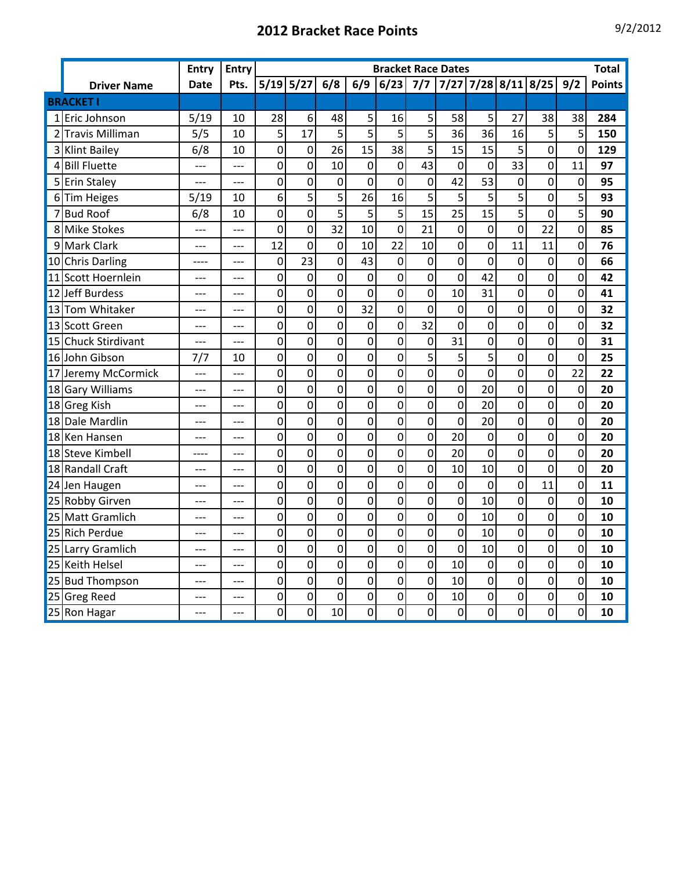## **2012 Bracket Race Points** 9/2/2012

|                |                        | <b>Entry</b> | <b>Entry</b> |                | <b>Bracket Race Dates</b> |                |                |                |                |                       |                |                |                |                |               |  |
|----------------|------------------------|--------------|--------------|----------------|---------------------------|----------------|----------------|----------------|----------------|-----------------------|----------------|----------------|----------------|----------------|---------------|--|
|                | <b>Driver Name</b>     | <b>Date</b>  | Pts.         | $5/19$ $5/27$  |                           | 6/8            | 6/9            | 6/23           | 7/7            | $7/27$ 7/28 8/11 8/25 |                |                |                | 9/2            | <b>Points</b> |  |
|                | <b>BRACKET I</b>       |              |              |                |                           |                |                |                |                |                       |                |                |                |                |               |  |
|                | 1 Eric Johnson         | 5/19         | 10           | 28             | 6                         | 48             | 5              | 16             | 5              | 58                    | 5              | 27             | 38             | 38             | 284           |  |
| $\overline{2}$ | <b>Travis Milliman</b> | 5/5          | 10           | 5              | 17                        | 5              | 5              | 5              | 5              | 36                    | 36             | 16             | 5              | 5              | 150           |  |
| $\overline{3}$ | <b>Klint Bailey</b>    | 6/8          | 10           | $\overline{0}$ | $\mathbf 0$               | 26             | 15             | 38             | 5              | 15                    | 15             | 5              | $\mathbf 0$    | $\overline{0}$ | 129           |  |
| 4              | <b>Bill Fluette</b>    | $---$        | ---          | 0              | $\mathbf 0$               | 10             | 0              | $\mathbf 0$    | 43             | $\mathbf 0$           | 0              | 33             | 0              | 11             | 97            |  |
|                | 5 Erin Staley          | ---          | ---          | $\overline{0}$ | $\overline{0}$            | $\overline{0}$ | $\overline{0}$ | $\overline{0}$ | $\overline{0}$ | 42                    | 53             | $\overline{0}$ | $\overline{0}$ | $\mathbf 0$    | 95            |  |
|                | 6Tim Heiges            | 5/19         | 10           | 6              | 5                         | 5              | 26             | 16             | 5              | 5                     | 5              | 5              | $\overline{0}$ | 5              | 93            |  |
|                | 7Bud Roof              | 6/8          | 10           | $\overline{0}$ | $\overline{0}$            | 5              | 5              | 5              | 15             | 25                    | 15             | 5              | $\overline{0}$ | 5              | 90            |  |
|                | 8 Mike Stokes          | ---          | ---          | 0              | $\mathbf 0$               | 32             | 10             | $\overline{0}$ | 21             | $\mathbf 0$           | 0              | $\overline{0}$ | 22             | $\mathbf 0$    | 85            |  |
|                | 9 Mark Clark           | $---$        | $---$        | 12             | $\overline{0}$            | $\mathbf 0$    | 10             | 22             | 10             | $\overline{0}$        | 0              | 11             | 11             | 0              | 76            |  |
|                | 10 Chris Darling       |              |              | 0              | 23                        | $\overline{0}$ | 43             | $\mathbf 0$    | $\mathbf 0$    | $\overline{0}$        | $\overline{0}$ | 0              | 0              | $\mathbf 0$    | 66            |  |
| 11             | <b>Scott Hoernlein</b> | ---          |              | 0              | $\mathbf 0$               | $\overline{0}$ | $\mathbf 0$    | $\overline{0}$ | $\overline{0}$ | $\overline{0}$        | 42             | $\overline{0}$ | $\overline{0}$ | $\overline{0}$ | 42            |  |
| 12             | <b>Jeff Burdess</b>    | ---          | ---          | 0              | $\overline{0}$            | 0              | $\mathbf 0$    | $\overline{0}$ | $\overline{0}$ | 10                    | 31             | $\overline{0}$ | 0              | $\overline{0}$ | 41            |  |
|                | 13 Tom Whitaker        | $---$        | ---          | 0              | $\mathbf 0$               | 0              | 32             | $\overline{0}$ | $\mathbf 0$    | $\mathbf 0$           | 0              | 0              | $\overline{0}$ | $\overline{0}$ | 32            |  |
|                | 13 Scott Green         | ---          |              | 0              | $\mathbf 0$               | 0              | 0              | $\overline{0}$ | 32             | $\mathbf 0$           | 0              | 0              | $\mathbf 0$    | $\overline{0}$ | 32            |  |
|                | 15 Chuck Stirdivant    | ---          |              | $\overline{0}$ | $\mathbf{0}$              | 0              | $\mathbf 0$    | 0              | $\overline{0}$ | 31                    | 0              | $\overline{0}$ | 0              | $\overline{0}$ | 31            |  |
|                | 16 John Gibson         | 7/7          | 10           | 0              | $\overline{0}$            | 0              | $\mathbf 0$    | $\mathbf 0$    | 5              | 5                     | 5              | $\overline{0}$ | 0              | $\overline{0}$ | 25            |  |
| 17             | Jeremy McCormick       | $---$        | $---$        | $\mathbf 0$    | $\mathbf 0$               | $\overline{0}$ | 0              | $\mathbf 0$    | $\mathbf 0$    | $\mathbf 0$           | $\overline{0}$ | 0              | $\mathbf 0$    | 22             | 22            |  |
| 18             | <b>Gary Williams</b>   | ---          |              | $\mathbf 0$    | $\mathbf 0$               | $\overline{0}$ | 0              | $\overline{0}$ | $\overline{0}$ | $\overline{0}$        | 20             | $\overline{0}$ | $\mathbf 0$    | $\mathbf 0$    | 20            |  |
|                | 18 Greg Kish           | ---          |              | $\mathbf 0$    | $\mathbf 0$               | $\overline{0}$ | 0              | $\mathbf 0$    | $\mathbf 0$    | $\mathbf 0$           | 20             | 0              | $\mathbf 0$    | $\mathbf 0$    | 20            |  |
| 18             | Dale Mardlin           | ---          | ---          | 0              | $\overline{0}$            | 0              | $\mathbf 0$    | $\overline{0}$ | $\overline{0}$ | $\mathbf 0$           | 20             | 0              | $\overline{0}$ | $\mathbf 0$    | 20            |  |
|                | 18 Ken Hansen          | $---$        | $---$        | 0              | $\overline{0}$            | 0              | 0              | $\overline{0}$ | 0              | 20                    | 0              | 0              | 0              | 0              | 20            |  |
|                | 18 Steve Kimbell       | ----         |              | $\overline{0}$ | $\overline{0}$            | $\mathbf 0$    | $\overline{0}$ | $\overline{0}$ | $\overline{0}$ | 20                    | $\overline{0}$ | $\overline{0}$ | $\overline{0}$ | $\overline{0}$ | 20            |  |
|                | 18 Randall Craft       | $---$        |              | 0              | $\overline{0}$            | 0              | 0              | $\overline{0}$ | 0              | 10                    | 10             | $\overline{0}$ | $\mathbf 0$    | $\mathbf 0$    | 20            |  |
|                | 24 Jen Haugen          | ---          |              | 0              | $\overline{0}$            | 0              | 0              | $\overline{0}$ | $\mathbf 0$    | $\mathbf 0$           | 0              | $\overline{0}$ | 11             | $\mathbf 0$    | 11            |  |
|                | 25 Robby Girven        | ---          | ---          | $\mathbf 0$    | $\mathbf 0$               | 0              | 0              | $\mathbf 0$    | $\mathbf 0$    | 0                     | 10             | 0              | 0              | 0              | 10            |  |
|                | 25 Matt Gramlich       | ---          |              | $\overline{0}$ | $\overline{0}$            | $\overline{0}$ | $\overline{0}$ | $\overline{0}$ | $\overline{0}$ | $\mathbf 0$           | 10             | $\overline{0}$ | $\overline{0}$ | $\overline{0}$ | 10            |  |
| 25             | <b>Rich Perdue</b>     |              |              | $\overline{0}$ | $\overline{0}$            | $\overline{0}$ | $\mathbf 0$    | $\mathbf 0$    | $\overline{0}$ | $\mathbf 0$           | 10             | 0              | $\mathbf 0$    | $\overline{0}$ | 10            |  |
| 25             | Larry Gramlich         | ---          |              | 0              | $\overline{0}$            | $\overline{0}$ | 0              | $\overline{0}$ | $\overline{0}$ | $\overline{0}$        | 10             | $\overline{0}$ | $\overline{0}$ | $\overline{0}$ | 10            |  |
| 25             | <b>Keith Helsel</b>    | ---          | ---          | 0              | $\overline{0}$            | $\overline{0}$ | 0              | $\overline{0}$ | 0              | 10                    | 0              | 0              | 0              | 0              | 10            |  |
|                | 25 Bud Thompson        | ---          | $---$        | 0              | $\overline{0}$            | 0              | $\mathbf 0$    | $\overline{0}$ | $\overline{0}$ | 10                    | 0              | $\overline{0}$ | $\overline{0}$ | 0              | 10            |  |
|                | 25 Greg Reed           | ---          |              | 0              | $\overline{0}$            | $\overline{0}$ | 0              | 0              | 0              | 10                    | 0              | 0              | 0              | 0              | 10            |  |
|                | 25 Ron Hagar           | ---          | $---$        | 0              | $\overline{0}$            | 10             | 0              | $\overline{0}$ | 0              | $\mathbf 0$           | 0              | 0              | 0              | $\overline{0}$ | 10            |  |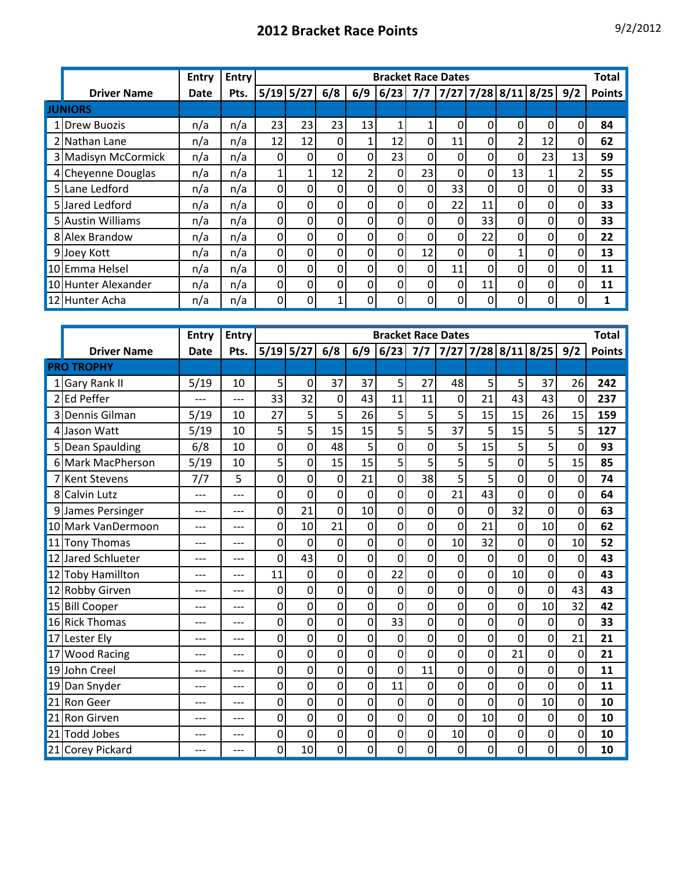|                     | <b>Entry</b> | Entry |                |               |                |             |                |    | <b>Bracket Race Dates</b> |          |    |    |          | Total         |
|---------------------|--------------|-------|----------------|---------------|----------------|-------------|----------------|----|---------------------------|----------|----|----|----------|---------------|
| <b>Driver Name</b>  | Date         | Pts.  |                | $5/19$ $5/27$ | 6/8            | 6/9         | $6/23$ 7/7     |    | 7/27   7/28   8/11   8/25 |          |    |    | 9/2      | <b>Points</b> |
| <b>JUNIORS</b>      |              |       |                |               |                |             |                |    |                           |          |    |    |          |               |
| 1 Drew Buozis       | n/a          | n/a   | 23             | 23            | 23             | 13          | 1              |    | 0                         | 0        | 0  | 0  | $\Omega$ | 84            |
| 2 Nathan Lane       | n/a          | n/a   | 12             | 12            | $\Omega$       | 1           | 12             | 0  | 11                        | 0        | C  | 12 | $\Omega$ | 62            |
| 3 Madisyn McCormick | n/a          | n/a   | $\overline{0}$ | 0             | $\Omega$       | $\Omega$    | 23             | 0  | $\Omega$                  | 0        | 0  | 23 | 13       | 59            |
| 4 Cheyenne Douglas  | n/a          | n/a   |                |               | 12             | 2           | $\Omega$       | 23 | 0                         | 0        | 13 |    |          | 55            |
| 5 Lane Ledford      | n/a          | n/a   | $\overline{0}$ | 0             | $\Omega$       | $\Omega$    | 01             | 0  | 33                        | 0        | 0  | 0  | 0        | 33            |
| 5 Jared Ledford     | n/a          | n/a   | 0              | 0             | $\Omega$       | $\Omega$    | 01             | 0  | 22                        | 11       | O  | O  | O        | 33            |
| 5 Austin Williams   | n/a          | n/a   | 0              | 0             | $\Omega$       | $\Omega$    | $\Omega$       | 0  | 0                         | 33       |    |    | 0        | 33            |
| 8 Alex Brandow      | n/a          | n/a   | 0              | 0             | $\Omega$       | $\mathbf 0$ | $\Omega$       | 0  | $\mathbf{0}$              | 22       | 0  | 0  | $\Omega$ | 22            |
| 9 Joey Kott         | n/a          | n/a   | 0              | 0             | $\Omega$       | $\Omega$    | $\Omega$       | 12 | $\Omega$                  | 0        |    |    |          | 13            |
| 10Emma Helsel       | n/a          | n/a   | 0              | 0             | $\Omega$       | $\Omega$    | $\Omega$       | 0  | 11                        | $\Omega$ | 0  | 0  | $\Omega$ | 11            |
| 10 Hunter Alexander | n/a          | n/a   | 0              | 0             | $\overline{0}$ | $\mathbf 0$ | $\overline{0}$ | 0  | $\Omega$                  | 11       |    | 0  | 0        | 11            |
| 12 Hunter Acha      | n/a          | n/a   | $\overline{0}$ | 0             | $\mathbf 1$    | $\Omega$    | 0              | 0  | $\Omega$                  | $\Omega$ | 0  |    |          |               |

|                |                     | <b>Entry</b> | <b>Entry</b> |             | <b>Bracket Race Dates</b> |                 |                |                |                |                  |             |                |                         |                |               |
|----------------|---------------------|--------------|--------------|-------------|---------------------------|-----------------|----------------|----------------|----------------|------------------|-------------|----------------|-------------------------|----------------|---------------|
|                | <b>Driver Name</b>  | <b>Date</b>  | Pts.         | $5/19$ 5/27 |                           | 6/8             | 6/9            | 6/23           |                |                  |             |                | 7/7 7/27 7/28 8/11 8/25 | 9/2            | <b>Points</b> |
|                | <b>PRO TROPHY</b>   |              |              |             |                           |                 |                |                |                |                  |             |                |                         |                |               |
| $1\vert$       | <b>Gary Rank II</b> | 5/19         | 10           | 5           | 0                         | 37              | 37             | 5              | 27             | 48               | 5           | 5              | 37                      | 26             | 242           |
| $\overline{2}$ | <b>Ed Peffer</b>    | ---          | $---$        | 33          | 32                        | $\mathbf 0$     | 43             | 11             | 11             | 0                | 21          | 43             | 43                      | 0              | 237           |
| $\overline{3}$ | Dennis Gilman       | 5/19         | 10           | 27          | 5                         | 5               | 26             | 5              | 5              | 5                | 15          | 15             | 26                      | 15             | 159           |
| 4              | Jason Watt          | 5/19         | 10           | 5           | 5                         | 15              | 15             | 5              | 5              | 37               | 5           | 15             | 5                       | 5              | 127           |
|                | 5 Dean Spaulding    | 6/8          | 10           | 0           | $\mathbf 0$               | 48              | 5              | $\overline{0}$ | 0              | 5                | 15          | 5              | 5                       | $\overline{0}$ | 93            |
|                | 6 Mark MacPherson   | 5/19         | 10           | 5           | $\overline{0}$            | 15              | 15             | 5              | 5              | 5                | 5           | 0              | 5                       | 15             | 85            |
|                | <b>Kent Stevens</b> | 7/7          | 5            | 0           | $\overline{0}$            | 0               | 21             | 0              | 38             | 5                | 5           | 0              | 0                       | $\mathbf 0$    | 74            |
| 8              | <b>Calvin Lutz</b>  | ---          | $---$        | 0           | 0                         | 0               | $\overline{0}$ | 0              | 0              | 21               | 43          | $\Omega$       | 0                       | 0              | 64            |
|                | 9 James Persinger   |              |              | 0           | 21                        | $\mathbf 0$     | 10             | $\overline{0}$ | 0              | $\mathbf 0$      | $\mathbf 0$ | 32             | $\mathbf 0$             | $\overline{0}$ | 63            |
|                | 10 Mark VanDermoon  | ---          | $---$        | 0           | 10                        | $\overline{21}$ | $\mathbf 0$    | 0              | $\overline{0}$ | 0                | 21          | $\overline{0}$ | 10                      | 0              | 62            |
|                | 11 Tony Thomas      | ---          | ---          | 0           | 0                         | $\mathbf 0$     | 0              | $\overline{0}$ | 0              | 10               | 32          | 0              | 0                       | 10             | 52            |
|                | 12 Jared Schlueter  | ---          | $---$        | 0           | 43                        | 0               | 0              | $\overline{0}$ | $\overline{0}$ | 0                | 0           | 0              | 0                       | 0              | 43            |
|                | 12 Toby Hamillton   | ---          | ---          | 11          | $\boldsymbol{0}$          | $\mathbf 0$     | 0              | 22             | 0              | $\mathbf 0$      | 0           | 10             | $\mathbf 0$             | $\mathbf 0$    | 43            |
|                | 12 Robby Girven     |              | ---          | 0           | 0                         | $\mathbf 0$     | $\overline{0}$ | 0              | $\overline{0}$ | $\mathbf 0$      | 0           | $\overline{0}$ | $\overline{0}$          | 43             | 43            |
|                | 15 Bill Cooper      | ---          | $---$        | 0           | 0                         | $\overline{0}$  | $\overline{0}$ | $\overline{0}$ | 0              | $\mathbf 0$      | 0           | 0              | 10                      | 32             | 42            |
|                | 16 Rick Thomas      | ---          | $---$        | 0           | 0                         | 0               | 0              | 33             | $\overline{0}$ | 0                | 0           | 0              | $\Omega$                | $\mathbf{0}$   | 33            |
|                | 17 Lester Ely       | ---          | ---          | 0           | 0                         | $\mathbf 0$     | 0              | 0              | 0              | $\mathbf 0$      | $\mathbf 0$ | 0              | $\mathbf 0$             | 21             | 21            |
| 17             | <b>Wood Racing</b>  | ---          | $---$        | 0           | 0                         | $\mathbf 0$     | 0              | 0              | 0              | 0                | 0           | 21             | 0                       | 0              | 21            |
|                | 19 John Creel       | $---$        | $---$        | 0           | 0                         | $\overline{0}$  | $\overline{0}$ | $\overline{0}$ | 11             | $\mathbf 0$      | 0           | 0              | $\mathbf 0$             | 0              | 11            |
| 19             | Dan Snyder          |              | ---          | 0           | $\overline{0}$            | 0               | 0              | 11             | 0              | 0                | 0           | 0              | 0                       | 0              | 11            |
|                | 21 Ron Geer         | ---          | ---          | 0           | 0                         | $\mathbf 0$     | 0              | $\mathbf 0$    | 0              | $\mathbf 0$      | 0           | 0              | 10                      | 0              | 10            |
| 21             | <b>Ron Girven</b>   |              | ---          | 0           | 0                         | $\mathbf 0$     | 0              | 0              | 0              | $\overline{0}$   | 10          | 0              | $\Omega$                | 0              | 10            |
| 21             | Todd Jobes          | ---          | $---$        | 0           | 0                         | 0               | 0              | 0              | 0              | 10               | $\mathbf 0$ | 0              | 0                       | 0              | 10            |
|                | 21 Corey Pickard    |              | ---          | $\mathbf 0$ | 10                        | 0               | 0              | 0              | $\mathbf 0$    | $\boldsymbol{0}$ | $\mathbf 0$ | 0              | $\mathbf 0$             | 0              | 10            |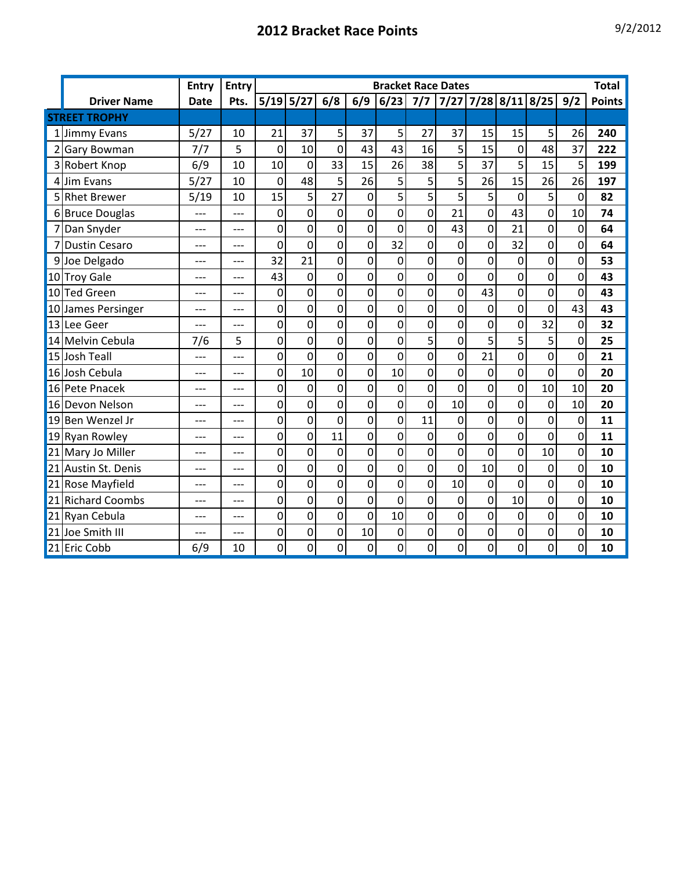|                |                      | <b>Entry</b> | <b>Entry</b> | <b>Bracket Race Dates</b> |                |                |                |                |                |                |                |                |                                           |                | <b>Total</b>  |
|----------------|----------------------|--------------|--------------|---------------------------|----------------|----------------|----------------|----------------|----------------|----------------|----------------|----------------|-------------------------------------------|----------------|---------------|
|                | <b>Driver Name</b>   | <b>Date</b>  | Pts.         |                           | $5/19$ $5/27$  | 6/8            | 6/9            | 6/23           |                |                |                |                | $7/7$   $7/27$   $7/28$   $8/11$   $8/25$ | 9/2            | <b>Points</b> |
|                | <b>STREET TROPHY</b> |              |              |                           |                |                |                |                |                |                |                |                |                                           |                |               |
| 1 <sup>1</sup> | <b>Jimmy Evans</b>   | 5/27         | 10           | 21                        | 37             | 5              | 37             | 5              | 27             | 37             | 15             | 15             | 5                                         | 26             | 240           |
|                | 2 Gary Bowman        | 7/7          | 5            | $\overline{0}$            | 10             | 0              | 43             | 43             | 16             | 5              | 15             | $\overline{0}$ | 48                                        | 37             | 222           |
|                | 3 Robert Knop        | 6/9          | 10           | 10                        | 0              | 33             | 15             | 26             | 38             | 5              | 37             | 5              | 15                                        | 5              | 199           |
|                | 4 Jim Evans          | 5/27         | 10           | $\mathbf 0$               | 48             | 5              | 26             | 5              | 5              | 5              | 26             | 15             | 26                                        | 26             | 197           |
|                | 5 Rhet Brewer        | 5/19         | 10           | 15                        | 5              | 27             | $\mathbf 0$    | 5              | 5              | 5              | 5              | $\mathbf 0$    | 5                                         | $\mathbf 0$    | 82            |
|                | 6 Bruce Douglas      | ---          | ---          | $\overline{0}$            | 0              | $\mathbf 0$    | 0              | $\overline{0}$ | 0              | 21             | 0              | 43             | $\overline{0}$                            | 10             | 74            |
|                | 7 Dan Snyder         | ---          | ---          | 0                         | 0              | 0              | 0              | $\mathbf 0$    | 0              | 43             | $\pmb{0}$      | 21             | 0                                         | $\mathbf 0$    | 64            |
|                | 7 Dustin Cesaro      | ---          | ---          | $\overline{0}$            | $\overline{0}$ | 0              | $\overline{0}$ | 32             | 0              | $\mathbf 0$    | 0              | 32             | 0                                         | $\mathbf 0$    | 64            |
|                | 9Joe Delgado         | ---          | ---          | 32                        | 21             | 0              | 0              | $\overline{0}$ | 0              | $\overline{0}$ | 0              | $\mathbf 0$    | $\overline{0}$                            | $\mathbf 0$    | 53            |
|                | 10 Troy Gale         | ---          | ---          | 43                        | 0              | 0              | 0              | 0              | 0              | $\overline{0}$ | 0              | $\Omega$       | 0                                         | $\mathbf 0$    | 43            |
|                | 10 Ted Green         |              | ---          | $\overline{0}$            | $\overline{0}$ | 0              | $\overline{0}$ | $\overline{0}$ | $\overline{0}$ | $\overline{0}$ | 43             | $\mathbf 0$    | $\mathbf 0$                               | $\mathbf 0$    | 43            |
|                | 10 James Persinger   | ---          | ---          | 0                         | 0              | 0              | 0              | 0              | 0              | $\overline{0}$ | 0              | 0              | 0                                         | 43             | 43            |
|                | 13 Lee Geer          |              |              | 0                         | 0              | 0              | 0              | $\overline{0}$ | 0              | $\Omega$       | 0              | 0              | 32                                        | $\mathbf 0$    | 32            |
|                | 14 Melvin Cebula     | 7/6          | 5            | 0                         | 0              | 0              | $\overline{0}$ | $\mathbf 0$    | 5              | 0              | 5              | 5              | 5                                         | $\mathbf 0$    | 25            |
|                | 15 Josh Teall        | ---          | ---          | $\overline{0}$            | $\overline{0}$ | $\overline{0}$ | $\overline{0}$ | $\overline{0}$ | $\overline{0}$ | O              | 21             | $\overline{0}$ | $\overline{0}$                            | $\overline{0}$ | 21            |
|                | 16 Josh Cebula       | $---$        | $---$        | 0                         | 10             | 0              | 0              | 10             | 0              | 0              | 0              | 0              | 0                                         | $\overline{0}$ | 20            |
|                | 16 Pete Pnacek       | ---          | ---          | 0                         | 0              | 0              | $\mathbf{0}$   | $\mathbf 0$    | 0              | 0              | $\overline{0}$ | $\mathbf 0$    | 10                                        | 10             | 20            |
|                | 16 Devon Nelson      | ---          |              | 0                         | $\overline{0}$ | $\overline{0}$ | $\mathbf 0$    | $\mathbf 0$    | $\overline{0}$ | 10             | 0              | $\overline{0}$ | $\overline{0}$                            | 10             | 20            |
|                | 19 Ben Wenzel Jr     | ---          |              | 0                         | 0              | 0              | 0              | $\overline{0}$ | 11             | $\overline{0}$ | 0              | 0              | $\overline{0}$                            | 0              | 11            |
|                | 19 Ryan Rowley       | ---          |              | 0                         | $\mathbf 0$    | 11             | $\mathbf 0$    | $\mathbf 0$    | $\mathbf 0$    | $\mathbf 0$    | 0              | $\mathbf 0$    | $\mathbf 0$                               | $\mathbf 0$    | 11            |
|                | 21 Mary Jo Miller    | ---          | ---          | 0                         | $\mathbf 0$    | $\mathbf 0$    | $\overline{0}$ | $\mathbf 0$    | 0              | $\mathbf 0$    | $\overline{0}$ | $\mathbf 0$    | 10                                        | $\overline{0}$ | 10            |
|                | 21 Austin St. Denis  | $---$        | ---          | 0                         | 0              | 0              | $\overline{0}$ | $\overline{0}$ | 0              | 0              | 10             | $\mathbf 0$    | $\overline{0}$                            | $\overline{0}$ | 10            |
|                | 21 Rose Mayfield     | ---          | ---          | 0                         | 0              | 0              | $\mathbf{0}$   | $\mathbf 0$    | 0              | 10             | 0              | 0              | 0                                         | $\mathbf 0$    | 10            |
|                | 21 Richard Coombs    | ---          | ---          | 0                         | 0              | $\overline{0}$ | $\overline{0}$ | $\overline{0}$ | 0              | $\mathbf 0$    | 0              | 10             | $\mathbf 0$                               | $\mathbf 0$    | 10            |
|                | 21 Ryan Cebula       | ---          | ---          | 0                         | 0              | 0              | 0              | 10             | 0              | $\overline{0}$ | 0              | $\Omega$       | 0                                         | $\mathbf 0$    | 10            |
|                | 21 Joe Smith III     |              |              | 0                         | 0              | 0              | 10             | $\mathbf 0$    | 0              | $\overline{0}$ | 0              | 0              | 0                                         | 0              | 10            |
|                | 21 Eric Cobb         | 6/9          | 10           | 0                         | 0              | 0              | $\mathbf 0$    | $\overline{0}$ | $\mathbf 0$    | $\mathbf 0$    | 0              | $\mathbf 0$    | 0                                         | $\mathbf 0$    | 10            |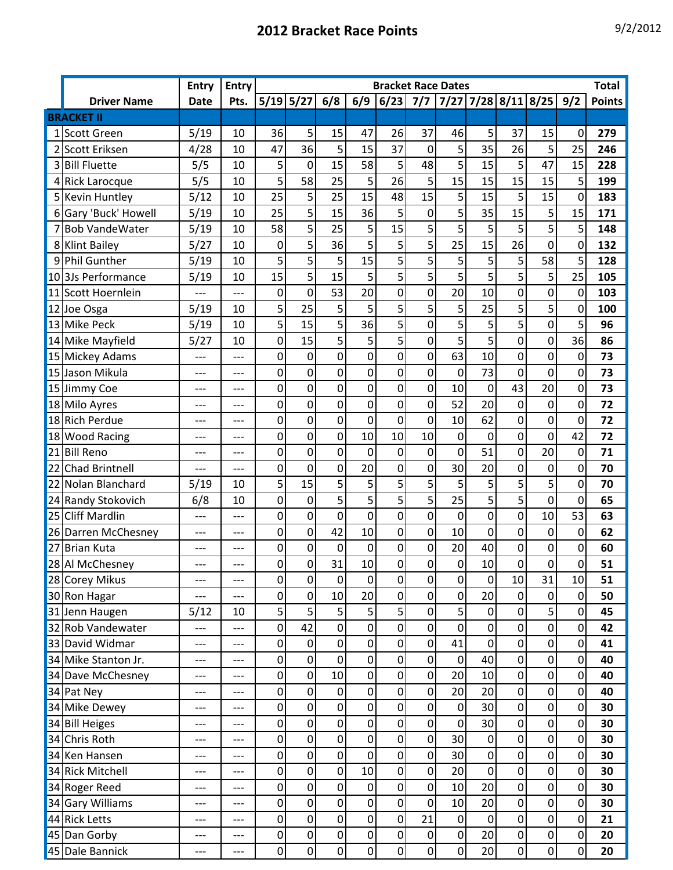|                |                       | <b>Entry</b> | <b>Entry</b> |                  | <b>Bracket Race Dates</b> |                  |                |                  |                  |                  |                  |                  |                         |                  | <b>Total</b>  |
|----------------|-----------------------|--------------|--------------|------------------|---------------------------|------------------|----------------|------------------|------------------|------------------|------------------|------------------|-------------------------|------------------|---------------|
|                | <b>Driver Name</b>    | <b>Date</b>  | Pts.         |                  | $5/19$ $5/27$             | 6/8              | 6/9            | 6/23             |                  |                  |                  |                  | 7/7 7/27 7/28 8/11 8/25 | 9/2              | <b>Points</b> |
|                | <b>BRACKET II</b>     |              |              |                  |                           |                  |                |                  |                  |                  |                  |                  |                         |                  |               |
|                | <b>Scott Green</b>    | 5/19         | 10           | 36               | 5                         | 15               | 47             | 26               | 37               | 46               | 5                | 37               | 15                      | 0                | 279           |
| 2              | Scott Eriksen         | 4/28         | 10           | 47               | 36                        | 5                | 15             | 37               | $\mathbf 0$      | 5                | 35               | 26               | 5                       | 25               | 246           |
| 3              | <b>Bill Fluette</b>   | 5/5          | 10           | 5                | $\mathbf 0$               | 15               | 58             | 5                | 48               | 5                | 15               | 5                | 47                      | 15               | 228           |
|                | 4 Rick Larocque       | 5/5          | 10           | 5                | 58                        | 25               | 5              | 26               | 5                | 15               | 15               | 15               | 15                      | 5                | 199           |
|                | 5 Kevin Huntley       | 5/12         | 10           | 25               | 5                         | 25               | 15             | 48               | 15               | 5                | 15               | 5                | 15                      | 0                | 183           |
| 6 <sup>1</sup> | Gary 'Buck' Howell    | 5/19         | 10           | 25               | 5                         | 15               | 36             | 5                | $\mathbf 0$      | 5                | 35               | 15               | 5                       | 15               | 171           |
| $\overline{7}$ | <b>Bob VandeWater</b> | 5/19         | 10           | 58               | 5                         | 25               | 5              | 15               | 5                | 5                | 5                | 5                | 5                       | 5                | 148           |
| 8              | <b>Klint Bailey</b>   | 5/27         | 10           | 0                | 5                         | 36               | 5              | 5                | 5                | 25               | 15               | 26               | 0                       | 0                | 132           |
| 9              | <b>Phil Gunther</b>   | 5/19         | 10           | 5                | 5                         | 5                | 15             | 5                | 5                | 5                | 5                | 5                | 58                      | 5                | 128           |
|                | 103Js Performance     | 5/19         | 10           | 15               | 5                         | 15               | 5              | 5                | 5                | 5                | 5                | 5                | 5                       | 25               | 105           |
|                | 11 Scott Hoernlein    |              | ---          | $\mathbf 0$      | 0                         | 53               | 20             | $\mathbf{0}$     | 0                | 20               | 10               | 0                | 0                       | $\mathbf 0$      | 103           |
|                | 12 Joe Osga           | 5/19         | 10           | 5                | 25                        | 5                | 5              | 5                | 5                | 5                | 25               | 5                | 5                       | 0                | 100           |
| 13             | <b>Mike Peck</b>      | 5/19         | 10           | 5                | 15                        | 5                | 36             | 5                | $\mathbf 0$      | 5                | 5                | 5                | 0                       | 5                | 96            |
|                | 14 Mike Mayfield      | 5/27         | 10           | $\overline{0}$   | 15                        | 5                | 5              | 5                | $\overline{0}$   | 5                | 5                | $\overline{0}$   | 0                       | 36               | 86            |
|                | 15 Mickey Adams       | ---          |              | 0                | $\mathbf 0$               | 0                | 0              | 0                | $\mathbf 0$      | 63               | 10               | $\mathbf 0$      | 0                       | $\boldsymbol{0}$ | 73            |
| 15             | Jason Mikula          | ---          | ---          | 0                | 0                         | 0                | 0              | 0                | $\mathbf 0$      | 0                | 73               | 0                | 0                       | 0                | 73            |
|                | 15 Jimmy Coe          | ---          |              | 0                | 0                         | 0                | $\mathbf 0$    | 0                | 0                | 10               | 0                | 43               | 20                      | 0                | 73            |
|                | 18 Milo Ayres         | ---          | ---          | 0                | 0                         | 0                | 0              | 0                | $\mathbf 0$      | 52               | 20               | 0                | $\mathbf 0$             | 0                | 72            |
|                | 18 Rich Perdue        | $---$        | ---          | 0                | 0                         | 0                | 0              | 0                | $\mathbf 0$      | 10               | 62               | 0                | 0                       | 0                | 72            |
| 18             | <b>Wood Racing</b>    | $---$        | ---          | 0                | 0                         | 0                | 10             | 10               | 10               | 0                | 0                | 0                | 0                       | 42               | 72            |
| 21             | <b>Bill Reno</b>      | ---          | ---          | 0                | 0                         | $\mathbf 0$      | $\mathbf 0$    | $\overline{0}$   | $\mathbf 0$      | 0                | 51               | $\mathbf 0$      | 20                      | $\mathbf 0$      | 71            |
| 22             | <b>Chad Brintnell</b> | ---          | ---          | 0                | $\mathbf 0$               | 0                | 20             | 0                | $\mathbf 0$      | 30               | 20               | $\mathbf 0$      | $\boldsymbol{0}$        | 0                | 70            |
| 22             | Nolan Blanchard       | 5/19         | 10           | 5                | 15                        | 5                | 5              | 5                | 5                | 5                | 5                | 5                | 5                       | 0                | 70            |
|                | 24 Randy Stokovich    | 6/8          | 10           | $\mathbf 0$      | 0                         | 5                | 5              | 5                | 5                | 25               | 5                | 5                | 0                       | 0                | 65            |
| 25             | <b>Cliff Mardlin</b>  | ---          | ---          | 0                | 0                         | 0                | 0              | 0                | $\mathbf 0$      | 0                | 0                | $\mathbf 0$      | 10                      | 53               | 63            |
|                | 26 Darren McChesney   | $---$        | ---          | 0                | 0                         | 42               | 10             | $\overline{0}$   | $\overline{0}$   | 10               | $\overline{0}$   | $\mathbf 0$      | $\mathbf 0$             | $\overline{0}$   | 62            |
| 27             | <b>Brian Kuta</b>     | ---          | ---          | 0                | 0                         | 0                | 0              | 0                | $\mathbf 0$      | 20               | 40               | 0                | 0                       | 0                | 60            |
|                | 28 Al McChesney       |              |              | $\mathbf 0$      | $\mathbf 0$               | 31               | 10             | 0                | $\boldsymbol{0}$ | $\mathbf 0$      | 10               | $\overline{0}$   | $\overline{0}$          | 0                | 51            |
|                | 28 Corey Mikus        | ---          | ---          | $\overline{0}$   | $\mathbf 0$               | $\mathbf 0$      | $\overline{0}$ | $\mathbf 0$      | $\mathbf 0$      | $\mathbf 0$      | $\mathbf 0$      | 10               | 31                      | 10               | 51            |
|                | 30 Ron Hagar          | ---          | ---          | $\mathbf 0$      | $\pmb{0}$                 | 10               | 20             | $\boldsymbol{0}$ | $\pmb{0}$        | $\mathbf 0$      | 20               | $\boldsymbol{0}$ | $\mathbf 0$             | $\boldsymbol{0}$ | 50            |
|                | 31 Jenn Haugen        | 5/12         | 10           | $\overline{5}$   | 5                         | 5                | 5              | 5                | $\mathbf 0$      | $\overline{5}$   | $\pmb{0}$        | $\overline{0}$   | 5                       | 0                | 45            |
|                | 32 Rob Vandewater     | ---          | ---          | $\mathbf 0$      | 42                        | $\boldsymbol{0}$ | $\mathbf 0$    | $\mathbf 0$      | $\pmb{0}$        | $\mathbf 0$      | $\pmb{0}$        | $\pmb{0}$        | $\pmb{0}$               | 0                | 42            |
|                | 33 David Widmar       | ---          | ---          | $\boldsymbol{0}$ | $\boldsymbol{0}$          | $\boldsymbol{0}$ | 0              | $\mathbf 0$      | $\mathbf 0$      | 41               | $\mathbf 0$      | $\mathbf 0$      | $\pmb{0}$               | 0                | 41            |
|                | 34 Mike Stanton Jr.   | ---          | ---          | $\overline{0}$   | $\boldsymbol{0}$          | $\pmb{0}$        | $\pmb{0}$      | $\pmb{0}$        | $\pmb{0}$        | $\boldsymbol{0}$ | 40               | $\overline{0}$   | $\pmb{0}$               | $\pmb{0}$        | 40            |
|                | 34 Dave McChesney     | ---          | ---          | $\boldsymbol{0}$ | $\boldsymbol{0}$          | 10               | $\pmb{0}$      | $\pmb{0}$        | $\pmb{0}$        | 20               | 10               | $\overline{0}$   | $\pmb{0}$               | $\boldsymbol{0}$ | 40            |
|                | 34 Pat Ney            | $---$        | ---          | $\boldsymbol{0}$ | $\boldsymbol{0}$          | $\pmb{0}$        | 0              | $\boldsymbol{0}$ | $\pmb{0}$        | 20               | 20               | $\overline{0}$   | $\pmb{0}$               | $\mathbf 0$      | 40            |
|                | 34 Mike Dewey         | ---          | ---          | $\pmb{0}$        | $\boldsymbol{0}$          | $\boldsymbol{0}$ | $\mathbf 0$    | $\boldsymbol{0}$ | $\pmb{0}$        | $\mathbf 0$      | 30               | $\overline{0}$   | $\pmb{0}$               | 0                | 30            |
|                | 34 Bill Heiges        | ---          | ---          | $\mathbf 0$      | $\pmb{0}$                 | $\mathbf 0$      | $\mathbf 0$    | $\mathbf 0$      | $\mathbf 0$      | $\mathbf 0$      | 30               | $\overline{0}$   | $\pmb{0}$               | $\mathbf 0$      | 30            |
| 34             | Chris Roth            | ---          | ---          | $\mathbf 0$      | $\boldsymbol{0}$          | $\boldsymbol{0}$ | 0              | 0                | $\pmb{0}$        | 30 <sup>°</sup>  | $\boldsymbol{0}$ | $\boldsymbol{0}$ | $\pmb{0}$               | 0                | 30            |
|                | 34 Ken Hansen         | ---          | ---          | $\boldsymbol{0}$ | $\boldsymbol{0}$          | $\boldsymbol{0}$ | $\mathbf 0$    | $\boldsymbol{0}$ | $\pmb{0}$        | 30 <sup>°</sup>  | $\mathbf 0$      | $\boldsymbol{0}$ | $\pmb{0}$               | 0                | 30            |
|                | 34 Rick Mitchell      | ---          | ---          | $\pmb{0}$        | $\pmb{0}$                 | $\pmb{0}$        | 10             | $\pmb{0}$        | $\pmb{0}$        | 20               | $\mathbf 0$      | $\overline{0}$   | $\pmb{0}$               | 0                | 30            |
|                | 34 Roger Reed         | ---          | ---          | $\pmb{0}$        | $\boldsymbol{0}$          | $\boldsymbol{0}$ | $\mathbf 0$    | $\boldsymbol{0}$ | $\pmb{0}$        | 10               | 20               | $\overline{0}$   | $\pmb{0}$               | 0                | 30            |
|                | 34 Gary Williams      | ---          | ---          | $\mathbf 0$      | $\mathbf 0$               | $\boldsymbol{0}$ | $\mathbf 0$    | $\mathbf 0$      | $\mathbf 0$      | 10               | 20               | $\overline{0}$   | $\pmb{0}$               | 0                | 30            |
|                | 44 Rick Letts         | ---          | ---          | $\pmb{0}$        | $\pmb{0}$                 | 0                | 0              | 0                | 21               | $\pmb{0}$        | 0                | $\mathbf 0$      | 0                       | 0                | 21            |
|                | 45 Dan Gorby          | ---          | ---          | $\pmb{0}$        | $\pmb{0}$                 | $\pmb{0}$        | $\mathbf 0$    | $\boldsymbol{0}$ | $\pmb{0}$        | $\overline{0}$   | 20               | $\overline{0}$   | $\pmb{0}$               | $\boldsymbol{0}$ | 20            |
|                | 45 Dale Bannick       | ---          | ---          | $\overline{0}$   | $\overline{0}$            | $\pmb{0}$        | $\mathbf 0$    | $\boldsymbol{0}$ | $\pmb{0}$        | $\mathbf 0$      | 20               | 0                | $\pmb{0}$               | $\boldsymbol{0}$ | 20            |